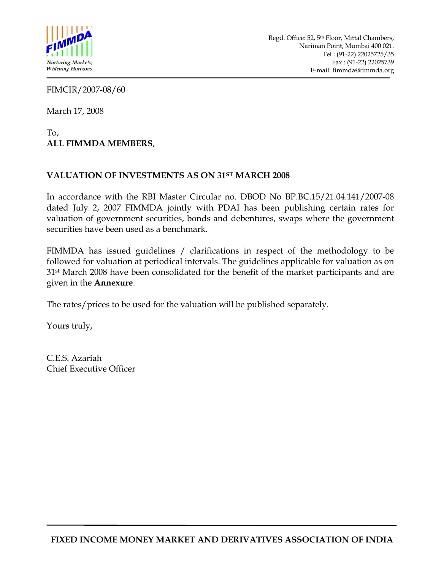

FIMCIR/2007-08/60

March 17, 2008

To, **ALL FIMMDA MEMBERS**,

#### **VALUATION OF INVESTMENTS AS ON 31ST MARCH 2008**

In accordance with the RBI Master Circular no. DBOD No BP.BC.15/21.04.141/2007-08 dated July 2, 2007 FIMMDA jointly with PDAI has been publishing certain rates for valuation of government securities, bonds and debentures, swaps where the government securities have been used as a benchmark.

FIMMDA has issued guidelines / clarifications in respect of the methodology to be followed for valuation at periodical intervals. The guidelines applicable for valuation as on 31st March 2008 have been consolidated for the benefit of the market participants and are given in the **Annexure**.

The rates/prices to be used for the valuation will be published separately.

Yours truly,

C.E.S. Azariah Chief Executive Officer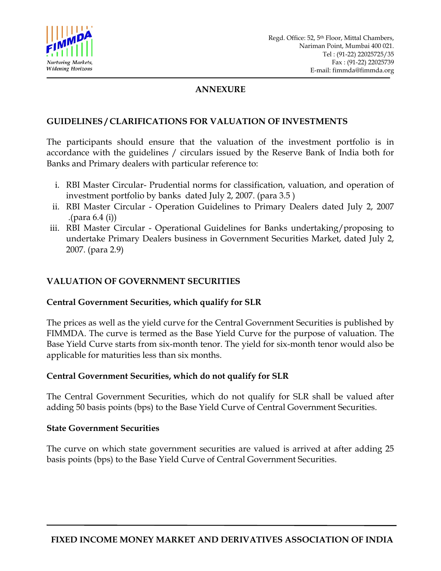

#### **ANNEXURE**

#### **GUIDELINES / CLARIFICATIONS FOR VALUATION OF INVESTMENTS**

The participants should ensure that the valuation of the investment portfolio is in accordance with the guidelines / circulars issued by the Reserve Bank of India both for Banks and Primary dealers with particular reference to:

- i. RBI Master Circular- Prudential norms for classification, valuation, and operation of investment portfolio by banks dated July 2, 2007. (para 3.5 )
- ii. RBI Master Circular Operation Guidelines to Primary Dealers dated July 2, 2007 .(para 6.4 (i))
- iii. RBI Master Circular Operational Guidelines for Banks undertaking/proposing to undertake Primary Dealers business in Government Securities Market, dated July 2, 2007. (para 2.9)

#### **VALUATION OF GOVERNMENT SECURITIES**

#### **Central Government Securities, which qualify for SLR**

The prices as well as the yield curve for the Central Government Securities is published by FIMMDA. The curve is termed as the Base Yield Curve for the purpose of valuation. The Base Yield Curve starts from six-month tenor. The yield for six-month tenor would also be applicable for maturities less than six months.

#### **Central Government Securities, which do not qualify for SLR**

The Central Government Securities, which do not qualify for SLR shall be valued after adding 50 basis points (bps) to the Base Yield Curve of Central Government Securities.

#### **State Government Securities**

The curve on which state government securities are valued is arrived at after adding 25 basis points (bps) to the Base Yield Curve of Central Government Securities.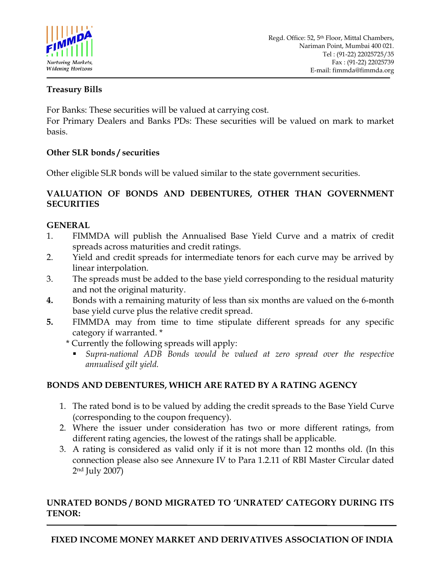

### **Treasury Bills**

For Banks: These securities will be valued at carrying cost.

For Primary Dealers and Banks PDs: These securities will be valued on mark to market basis.

### **Other SLR bonds / securities**

Other eligible SLR bonds will be valued similar to the state government securities.

#### **VALUATION OF BONDS AND DEBENTURES, OTHER THAN GOVERNMENT SECURITIES**

### **GENERAL**

- 1. FIMMDA will publish the Annualised Base Yield Curve and a matrix of credit spreads across maturities and credit ratings.
- 2. Yield and credit spreads for intermediate tenors for each curve may be arrived by linear interpolation.
- 3. The spreads must be added to the base yield corresponding to the residual maturity and not the original maturity.
- **4.** Bonds with a remaining maturity of less than six months are valued on the 6-month base yield curve plus the relative credit spread.
- **5.** FIMMDA may from time to time stipulate different spreads for any specific category if warranted. \*
	- \* Currently the following spreads will apply:
		- *Supra-national ADB Bonds would be valued at zero spread over the respective annualised gilt yield.*

# **BONDS AND DEBENTURES, WHICH ARE RATED BY A RATING AGENCY**

- 1. The rated bond is to be valued by adding the credit spreads to the Base Yield Curve (corresponding to the coupon frequency).
- 2. Where the issuer under consideration has two or more different ratings, from different rating agencies, the lowest of the ratings shall be applicable.
- 3. A rating is considered as valid only if it is not more than 12 months old. (In this connection please also see Annexure IV to Para 1.2.11 of RBI Master Circular dated 2nd July 2007)

# **UNRATED BONDS / BOND MIGRATED TO 'UNRATED' CATEGORY DURING ITS TENOR:**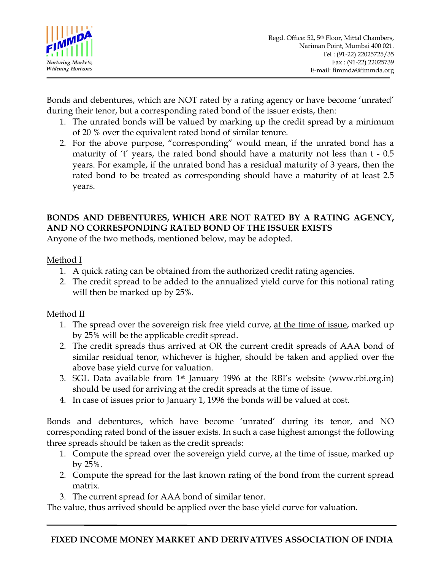

Bonds and debentures, which are NOT rated by a rating agency or have become 'unrated' during their tenor, but a corresponding rated bond of the issuer exists, then:

- 1. The unrated bonds will be valued by marking up the credit spread by a minimum of 20 % over the equivalent rated bond of similar tenure.
- 2. For the above purpose, "corresponding" would mean, if the unrated bond has a maturity of 't' years, the rated bond should have a maturity not less than t - 0.5 years. For example, if the unrated bond has a residual maturity of 3 years, then the rated bond to be treated as corresponding should have a maturity of at least 2.5 years.

# **BONDS AND DEBENTURES, WHICH ARE NOT RATED BY A RATING AGENCY, AND NO CORRESPONDING RATED BOND OF THE ISSUER EXISTS**

Anyone of the two methods, mentioned below, may be adopted.

### Method I

- 1. A quick rating can be obtained from the authorized credit rating agencies.
- 2. The credit spread to be added to the annualized yield curve for this notional rating will then be marked up by 25%.

# Method II

- 1. The spread over the sovereign risk free yield curve, at the time of issue, marked up by 25% will be the applicable credit spread.
- 2. The credit spreads thus arrived at OR the current credit spreads of AAA bond of similar residual tenor, whichever is higher, should be taken and applied over the above base yield curve for valuation.
- 3. SGL Data available from 1st January 1996 at the RBI's website (www.rbi.org.in) should be used for arriving at the credit spreads at the time of issue.
- 4. In case of issues prior to January 1, 1996 the bonds will be valued at cost.

Bonds and debentures, which have become 'unrated' during its tenor, and NO corresponding rated bond of the issuer exists. In such a case highest amongst the following three spreads should be taken as the credit spreads:

- 1. Compute the spread over the sovereign yield curve, at the time of issue, marked up by 25%.
- 2. Compute the spread for the last known rating of the bond from the current spread matrix.
- 3. The current spread for AAA bond of similar tenor.

The value, thus arrived should be applied over the base yield curve for valuation.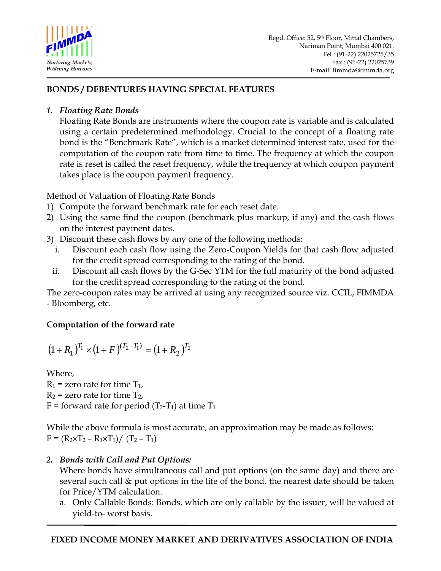

# **BONDS / DEBENTURES HAVING SPECIAL FEATURES**

### *1. Floating Rate Bonds*

Floating Rate Bonds are instruments where the coupon rate is variable and is calculated using a certain predetermined methodology. Crucial to the concept of a floating rate bond is the "Benchmark Rate", which is a market determined interest rate, used for the computation of the coupon rate from time to time. The frequency at which the coupon rate is reset is called the reset frequency, while the frequency at which coupon payment takes place is the coupon payment frequency.

Method of Valuation of Floating Rate Bonds

- 1) Compute the forward benchmark rate for each reset date.
- 2) Using the same find the coupon (benchmark plus markup, if any) and the cash flows on the interest payment dates.
- 3) Discount these cash flows by any one of the following methods:
	- i. Discount each cash flow using the Zero-Coupon Yields for that cash flow adjusted for the credit spread corresponding to the rating of the bond.
	- ii. Discount all cash flows by the G-Sec YTM for the full maturity of the bond adjusted for the credit spread corresponding to the rating of the bond.

The zero-coupon rates may be arrived at using any recognized source viz. CCIL, FIMMDA - Bloomberg, etc.

# **Computation of the forward rate**

$$
(1+R_1)^{T_1} \times (1+F)^{(T_2-T_1)} = (1+R_2)^{T_2}
$$

Where,  $R_1$  = zero rate for time  $T_1$ ,  $R_2$  = zero rate for time  $T_2$ ,  $F =$  forward rate for period (T<sub>2</sub>-T<sub>1</sub>) at time T<sub>1</sub>

While the above formula is most accurate, an approximation may be made as follows:  $F = (R_2 \times T_2 - R_1 \times T_1) / (T_2 - T_1)$ 

# *2. Bonds with Call and Put Options:*

Where bonds have simultaneous call and put options (on the same day) and there are several such call & put options in the life of the bond, the nearest date should be taken for Price/YTM calculation.

a. Only Callable Bonds: Bonds, which are only callable by the issuer, will be valued at yield-to- worst basis.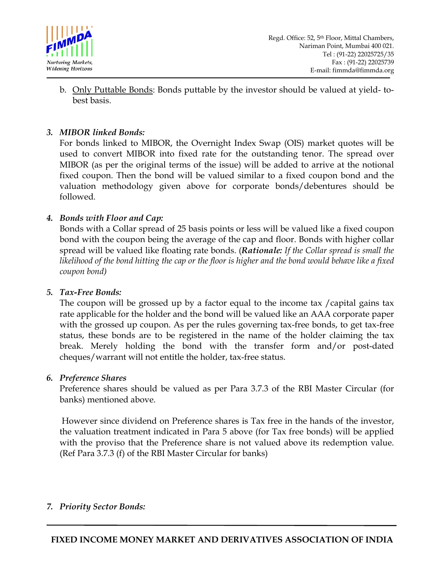

b. Only Puttable Bonds: Bonds puttable by the investor should be valued at yield- tobest basis.

#### *3. MIBOR linked Bonds:*

For bonds linked to MIBOR, the Overnight Index Swap (OIS) market quotes will be used to convert MIBOR into fixed rate for the outstanding tenor. The spread over MIBOR (as per the original terms of the issue) will be added to arrive at the notional fixed coupon. Then the bond will be valued similar to a fixed coupon bond and the valuation methodology given above for corporate bonds/debentures should be followed*.* 

### *4. Bonds with Floor and Cap:*

Bonds with a Collar spread of 25 basis points or less will be valued like a fixed coupon bond with the coupon being the average of the cap and floor. Bonds with higher collar spread will be valued like floating rate bonds. (*Rationale: If the Collar spread is small the likelihood of the bond hitting the cap or the floor is higher and the bond would behave like a fixed coupon bond)* 

#### *5. Tax-Free Bonds:*

The coupon will be grossed up by a factor equal to the income tax /capital gains tax rate applicable for the holder and the bond will be valued like an AAA corporate paper with the grossed up coupon. As per the rules governing tax-free bonds, to get tax-free status, these bonds are to be registered in the name of the holder claiming the tax break. Merely holding the bond with the transfer form and/or post-dated cheques/warrant will not entitle the holder, tax-free status.

#### *6. Preference Shares*

Preference shares should be valued as per Para 3.7.3 of the RBI Master Circular (for banks) mentioned above.

 However since dividend on Preference shares is Tax free in the hands of the investor, the valuation treatment indicated in Para 5 above (for Tax free bonds) will be applied with the proviso that the Preference share is not valued above its redemption value. (Ref Para 3.7.3 (f) of the RBI Master Circular for banks)

### *7. Priority Sector Bonds:*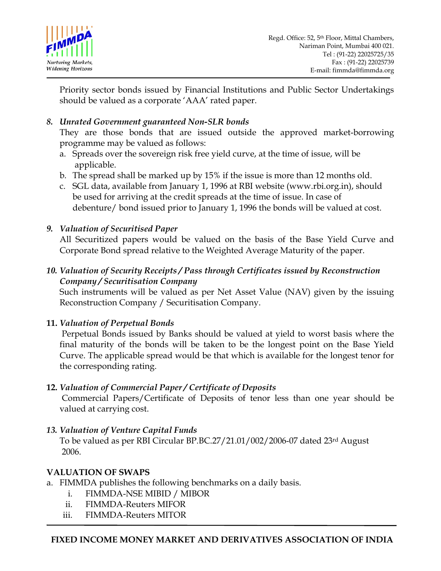

Priority sector bonds issued by Financial Institutions and Public Sector Undertakings should be valued as a corporate 'AAA' rated paper.

*8. Unrated Government guaranteed Non-SLR bonds* 

They are those bonds that are issued outside the approved market-borrowing programme may be valued as follows:

- a. Spreads over the sovereign risk free yield curve, at the time of issue, will be applicable.
- b. The spread shall be marked up by 15% if the issue is more than 12 months old.
- c. SGL data, available from January 1, 1996 at RBI website (www.rbi.org.in), should be used for arriving at the credit spreads at the time of issue. In case of debenture/ bond issued prior to January 1, 1996 the bonds will be valued at cost.

# *9. Valuation of Securitised Paper*

All Securitized papers would be valued on the basis of the Base Yield Curve and Corporate Bond spread relative to the Weighted Average Maturity of the paper.

### *10. Valuation of Security Receipts / Pass through Certificates issued by Reconstruction Company / Securitisation Company*

Such instruments will be valued as per Net Asset Value (NAV) given by the issuing Reconstruction Company / Securitisation Company.

# **11.** *Valuation of Perpetual Bonds*

Perpetual Bonds issued by Banks should be valued at yield to worst basis where the final maturity of the bonds will be taken to be the longest point on the Base Yield Curve. The applicable spread would be that which is available for the longest tenor for the corresponding rating.

# **12.** *Valuation of Commercial Paper / Certificate of Deposits*

Commercial Papers/Certificate of Deposits of tenor less than one year should be valued at carrying cost.

# *13. Valuation of Venture Capital Funds*

 To be valued as per RBI Circular BP.BC.27/21.01/002/2006-07 dated 23rd August 2006.

# **VALUATION OF SWAPS**

- a. FIMMDA publishes the following benchmarks on a daily basis.
	- i. FIMMDA-NSE MIBID / MIBOR
	- ii. FIMMDA-Reuters MIFOR
	- iii. FIMMDA-Reuters MITOR